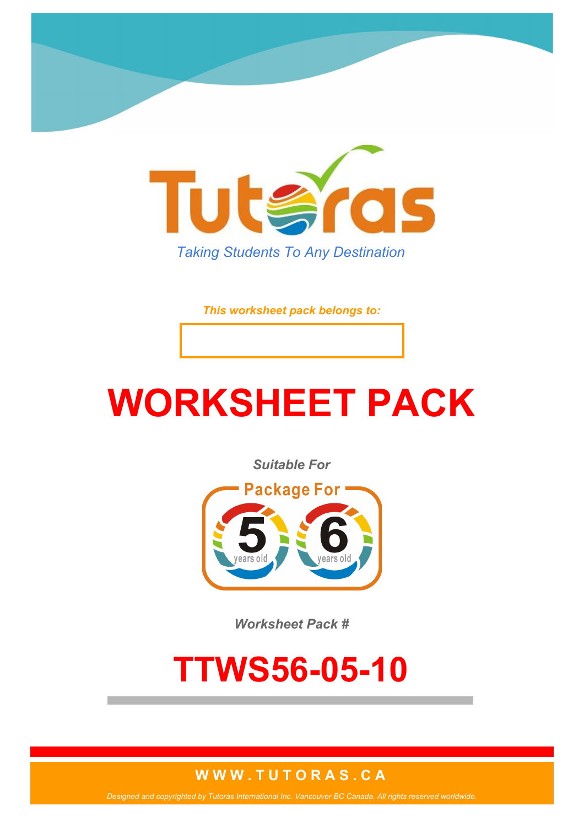

*This worksheet pack belongs to:*

# **WORKSHEET PACK**

*Suitable For*



*Worksheet Pack #*

## **TTWS56-05-10**

#### **W W W . T U T O R A S . C A**

*Designed and copyrighted by Tutoras International Inc. Vancouver BC Canada. All rights reserved worldwide.*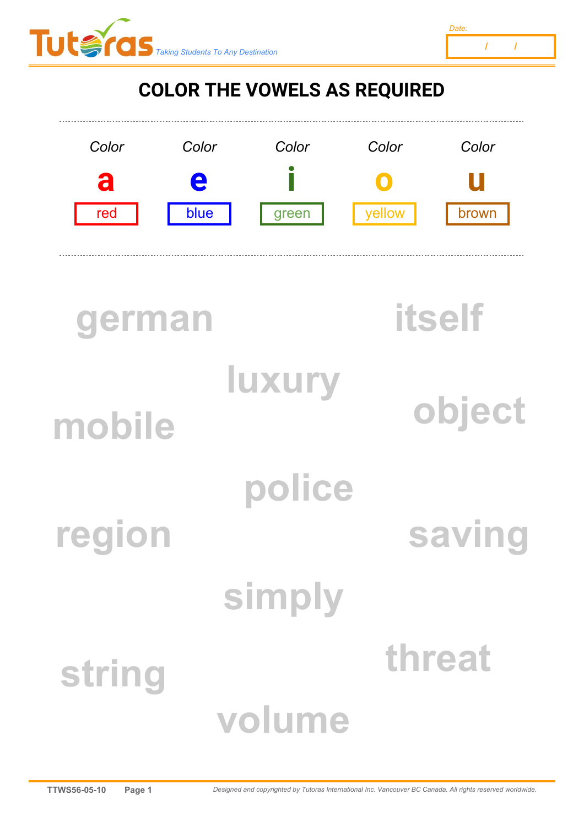



### **COLOR THE VOWELS AS REQUIRED**



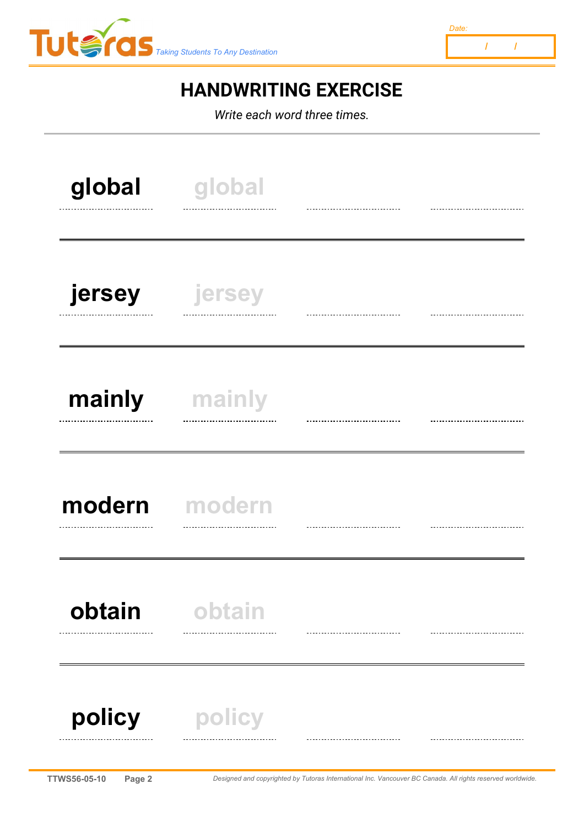



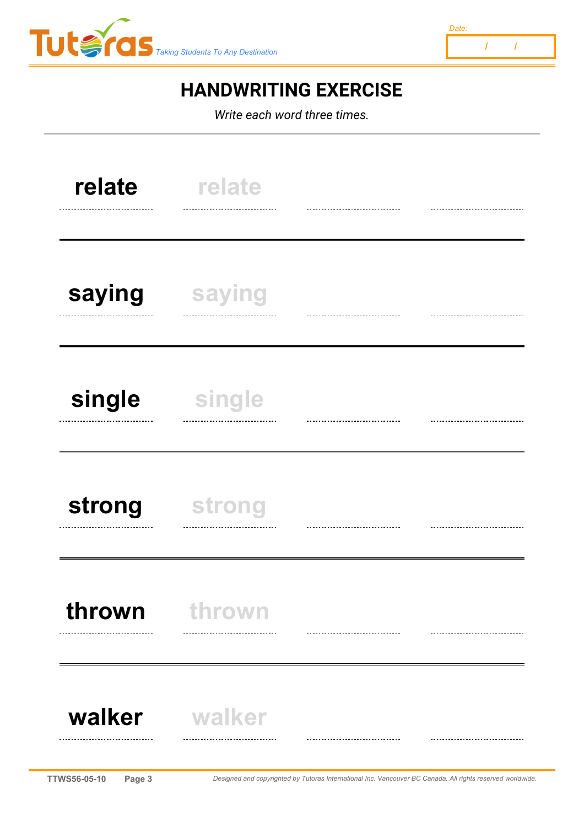



*Write each word three times.*



**TTWS56-05-10 Page 3** *Designed and copyrighted by Tutoras International Inc. Vancouver BC Canada. All rights reserved worldwide.*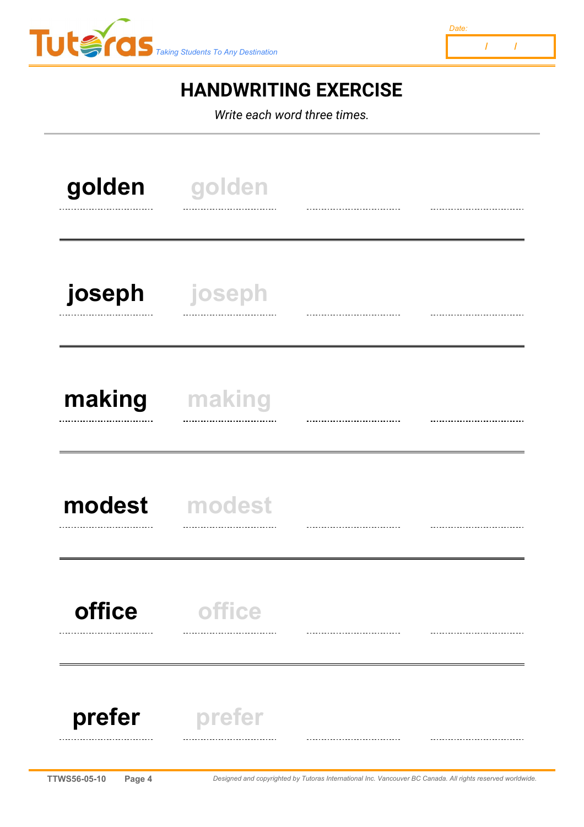



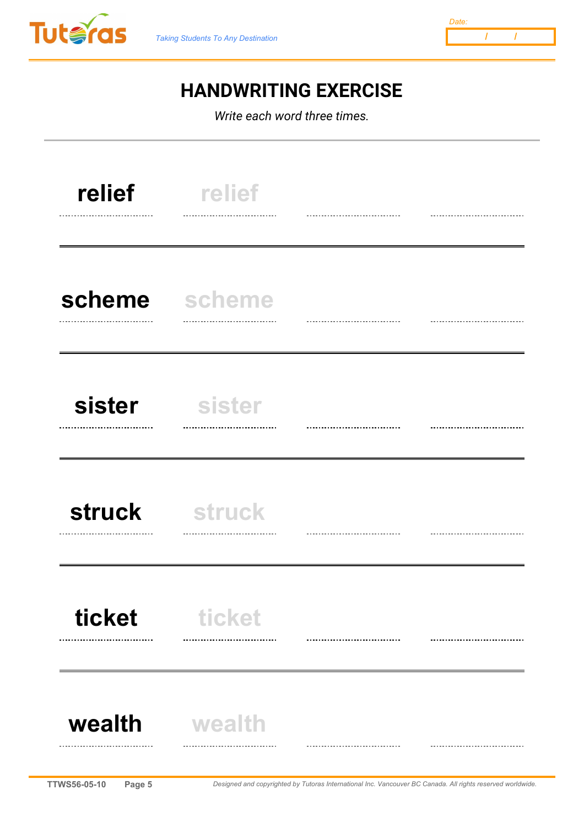



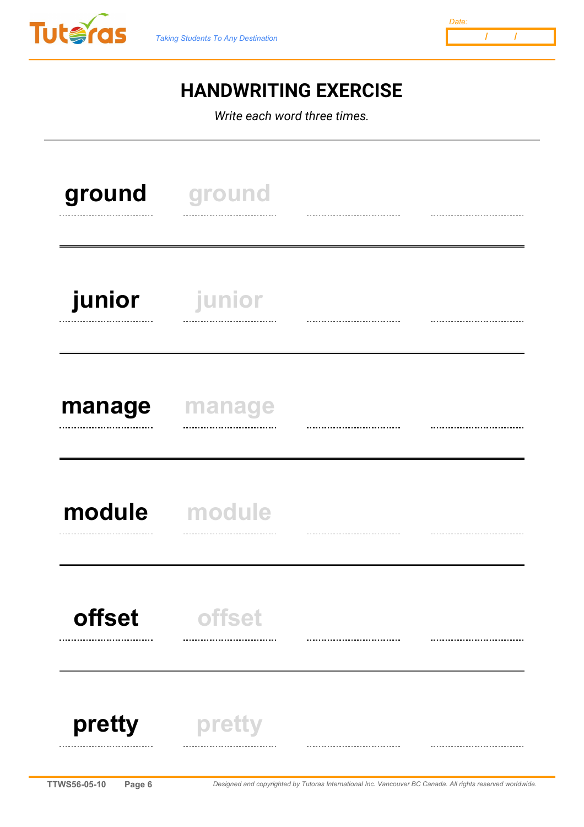